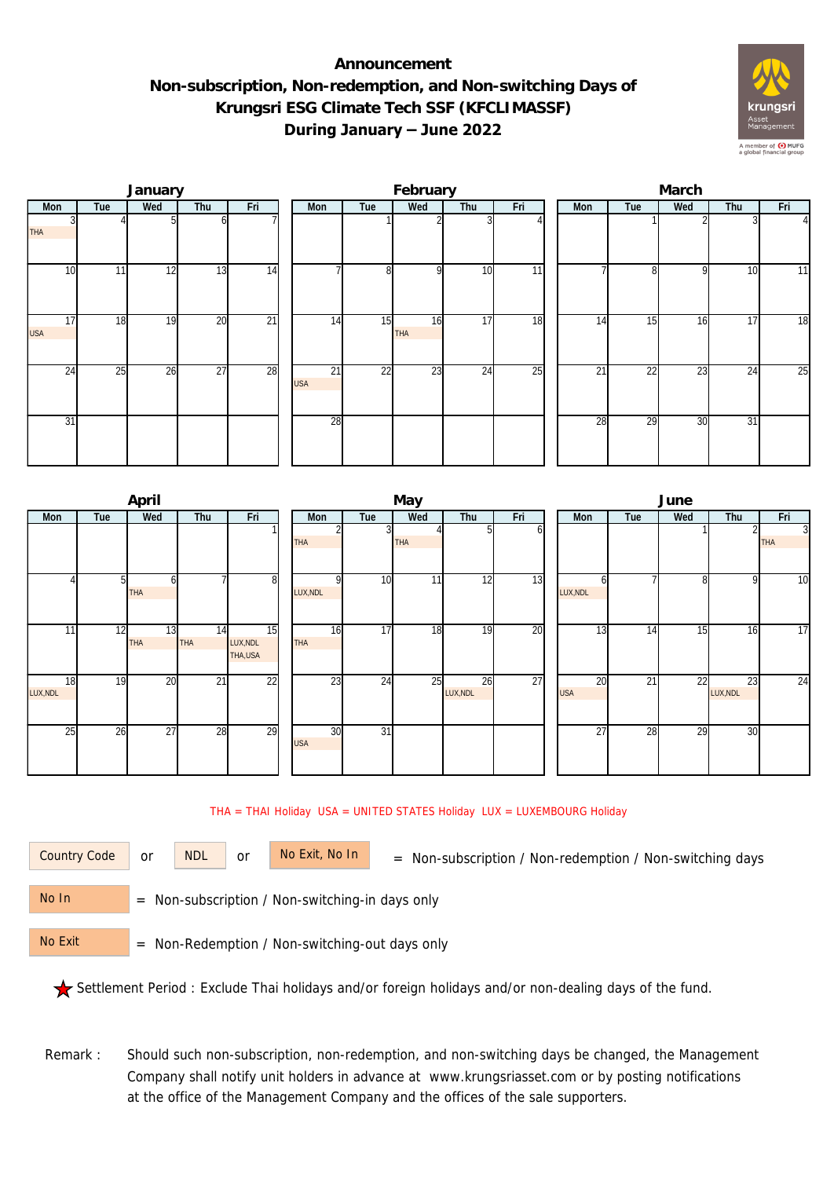## **Announcement Non-subscription, Non-redemption, and Non-switching Days of Krungsri ESG Climate Tech SSF (KFCLIMASSF) During January – June 2022**



|                  |     | January |                 |                 |                               |                 | February         |                 |     | March           |                 |     |     |                |  |  |
|------------------|-----|---------|-----------------|-----------------|-------------------------------|-----------------|------------------|-----------------|-----|-----------------|-----------------|-----|-----|----------------|--|--|
| Mon              | Tue | Wed     | Thu             | Fri             | Mon                           | Tue             | Wed              | Thu             | Fri | Mon             | Tue             | Wed | Thu | Fri            |  |  |
| <b>THA</b>       |     |         |                 |                 |                               |                 |                  |                 |     |                 |                 |     |     | $\overline{4}$ |  |  |
| 10               | 11  | 12      | 13              | $\overline{14}$ |                               | 8 <sup>1</sup>  | n                | 10              | 11  |                 | $\Omega$        | 9   | 10  | 11             |  |  |
| 17<br><b>USA</b> | 18  | 19      | 20              | $\overline{21}$ | 14                            | 15              | 16<br><b>THA</b> | 17              | 18  | 14              | 15              | 16  | 17  | 18             |  |  |
| 24               | 25  | 26      | $\overline{27}$ | 28              | $\overline{21}$<br><b>USA</b> | $\overline{22}$ | 23               | $2\overline{4}$ | 25  | $\overline{21}$ | $\overline{22}$ | 23  | 24  | 25             |  |  |
| 31               |     |         |                 |                 | 28                            |                 |                  |                 |     | 28              | 29              | 30  | 31  |                |  |  |

|                |     | April            |                 |                           |                  |                 | May             |                |     | June                          |     |     |                |                              |  |  |
|----------------|-----|------------------|-----------------|---------------------------|------------------|-----------------|-----------------|----------------|-----|-------------------------------|-----|-----|----------------|------------------------------|--|--|
| Mon            | Tue | Wed              | Thu             | Fri                       | Mon              | Tue             | Wed             | Thu            | Fri | Mon                           | Tue | Wed | Thu            | Fri                          |  |  |
|                |     |                  |                 |                           | <b>THA</b>       |                 | THA             |                | οı  |                               |     |     | 2              | $\overline{3}$<br><b>THA</b> |  |  |
|                | 51  | ы<br><b>THA</b>  |                 | 8                         | O<br>LUX, NDL    | 10              | 11 <sub>1</sub> | 12             | 13  | LUX, NDL                      |     | 8   | 9              | 10                           |  |  |
| 11             | 12  | 13<br><b>THA</b> | 14<br>THA       | 15<br>LUX, NDL<br>THA,USA | 16<br><b>THA</b> | $\overline{17}$ | 18              | 19             | 20  | 13                            | 14  | 15  | 16             | 17                           |  |  |
| 18<br>LUX, NDL | 19  | 20               | $\overline{21}$ | $\overline{22}$           | 23               | 24              | 25              | 26<br>LUX, NDL | 27  | $\overline{20}$<br><b>USA</b> | 21  | 22  | 23<br>LUX, NDL | 24                           |  |  |
| 25             | 26  | 27               | 28              | 29                        | 30<br><b>USA</b> | $\overline{31}$ |                 |                |     | $\overline{27}$               | 28  | 29  | 30             |                              |  |  |

## THA = THAI Holiday USA = UNITED STATES Holiday LUX = LUXEMBOURG Holiday

or NDL or

Country Code or NDL or No Exit, No In = Non-subscription / Non-redemption / Non-switching days

 = Non-subscription / Non-switching-in days only No In

 = Non-Redemption / Non-switching-out days only No Exit

Settlement Period : Exclude Thai holidays and/or foreign holidays and/or non-dealing days of the fund.

Remark : Should such non-subscription, non-redemption, and non-switching days be changed, the Management Company shall notify unit holders in advance at www.krungsriasset.com or by posting notifications at the office of the Management Company and the offices of the sale supporters.